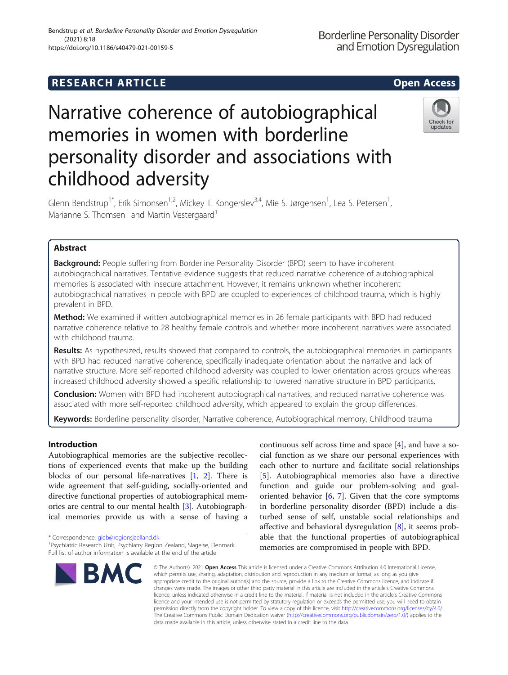# Narrative coherence of autobiographical memories in women with borderline personality disorder and associations with childhood adversity

Glenn Bendstrup<sup>1\*</sup>, Erik Simonsen<sup>1,2</sup>, Mickey T. Kongerslev<sup>3,4</sup>, Mie S. Jørgensen<sup>1</sup>, Lea S. Petersen<sup>1</sup> , Marianne S. Thomsen<sup>1</sup> and Martin Vestergaard<sup>1</sup>

# Abstract

**Background:** People suffering from Borderline Personality Disorder (BPD) seem to have incoherent autobiographical narratives. Tentative evidence suggests that reduced narrative coherence of autobiographical memories is associated with insecure attachment. However, it remains unknown whether incoherent autobiographical narratives in people with BPD are coupled to experiences of childhood trauma, which is highly prevalent in BPD.

Method: We examined if written autobiographical memories in 26 female participants with BPD had reduced narrative coherence relative to 28 healthy female controls and whether more incoherent narratives were associated with childhood trauma.

Results: As hypothesized, results showed that compared to controls, the autobiographical memories in participants with BPD had reduced narrative coherence, specifically inadequate orientation about the narrative and lack of narrative structure. More self-reported childhood adversity was coupled to lower orientation across groups whereas increased childhood adversity showed a specific relationship to lowered narrative structure in BPD participants.

**Conclusion:** Women with BPD had incoherent autobiographical narratives, and reduced narrative coherence was associated with more self-reported childhood adversity, which appeared to explain the group differences.

Keywords: Borderline personality disorder, Narrative coherence, Autobiographical memory, Childhood trauma

# Introduction

Autobiographical memories are the subjective recollections of experienced events that make up the building blocks of our personal life-narratives [[1,](#page-8-0) [2](#page-8-0)]. There is wide agreement that self-guiding, socially-oriented and directive functional properties of autobiographical memories are central to our mental health [\[3\]](#page-8-0). Autobiographical memories provide us with a sense of having a

\* Correspondence: [gleb@regionsjaelland.dk](mailto:gleb@regionsjaelland.dk) <sup>1</sup>

continuous self across time and space [[4\]](#page-8-0), and have a social function as we share our personal experiences with each other to nurture and facilitate social relationships [[5\]](#page-8-0). Autobiographical memories also have a directive function and guide our problem-solving and goaloriented behavior  $[6, 7]$  $[6, 7]$  $[6, 7]$  $[6, 7]$ . Given that the core symptoms in borderline personality disorder (BPD) include a disturbed sense of self, unstable social relationships and affective and behavioral dysregulation [[8\]](#page-8-0), it seems probable that the functional properties of autobiographical memories are compromised in people with BPD.

© The Author(s). 2021 Open Access This article is licensed under a Creative Commons Attribution 4.0 International License, which permits use, sharing, adaptation, distribution and reproduction in any medium or format, as long as you give appropriate credit to the original author(s) and the source, provide a link to the Creative Commons licence, and indicate if changes were made. The images or other third party material in this article are included in the article's Creative Commons licence, unless indicated otherwise in a credit line to the material. If material is not included in the article's Creative Commons licence and your intended use is not permitted by statutory regulation or exceeds the permitted use, you will need to obtain permission directly from the copyright holder. To view a copy of this licence, visit [http://creativecommons.org/licenses/by/4.0/.](http://creativecommons.org/licenses/by/4.0/) The Creative Commons Public Domain Dedication waiver [\(http://creativecommons.org/publicdomain/zero/1.0/](http://creativecommons.org/publicdomain/zero/1.0/)) applies to the data made available in this article, unless otherwise stated in a credit line to the data.

and Emotion Dysregulation





**Borderline Personality Disorder** 



<sup>&</sup>lt;sup>1</sup>Psychiatric Research Unit, Psychiatry Region Zealand, Slagelse, Denmark Full list of author information is available at the end of the article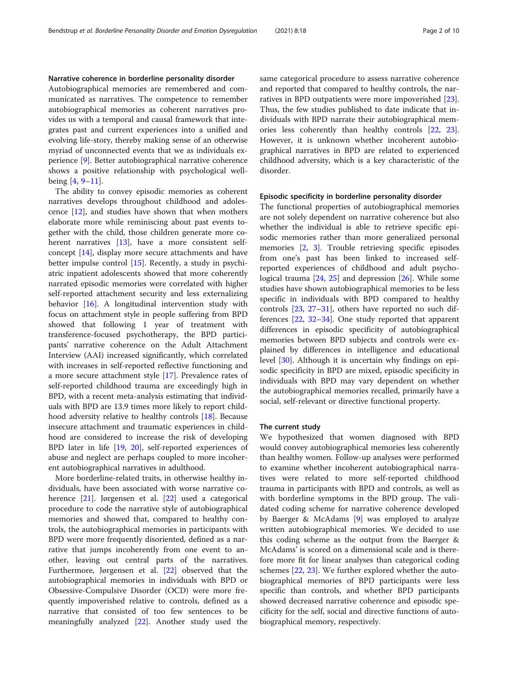## Narrative coherence in borderline personality disorder

Autobiographical memories are remembered and communicated as narratives. The competence to remember autobiographical memories as coherent narratives provides us with a temporal and causal framework that integrates past and current experiences into a unified and evolving life-story, thereby making sense of an otherwise myriad of unconnected events that we as individuals experience [\[9](#page-8-0)]. Better autobiographical narrative coherence shows a positive relationship with psychological wellbeing [[4,](#page-8-0) [9](#page-8-0)–[11\]](#page-8-0).

The ability to convey episodic memories as coherent narratives develops throughout childhood and adolescence [[12\]](#page-8-0), and studies have shown that when mothers elaborate more while reminiscing about past events together with the child, those children generate more co-herent narratives [\[13](#page-8-0)], have a more consistent selfconcept [\[14](#page-8-0)], display more secure attachments and have better impulse control [\[15](#page-8-0)]. Recently, a study in psychiatric inpatient adolescents showed that more coherently narrated episodic memories were correlated with higher self-reported attachment security and less externalizing behavior [[16\]](#page-8-0). A longitudinal intervention study with focus on attachment style in people suffering from BPD showed that following 1 year of treatment with transference-focused psychotherapy, the BPD participants' narrative coherence on the Adult Attachment Interview (AAI) increased significantly, which correlated with increases in self-reported reflective functioning and a more secure attachment style [[17\]](#page-8-0). Prevalence rates of self-reported childhood trauma are exceedingly high in BPD, with a recent meta-analysis estimating that individuals with BPD are 13.9 times more likely to report childhood adversity relative to healthy controls [\[18](#page-8-0)]. Because insecure attachment and traumatic experiences in childhood are considered to increase the risk of developing BPD later in life [\[19](#page-8-0), [20](#page-8-0)], self-reported experiences of abuse and neglect are perhaps coupled to more incoherent autobiographical narratives in adulthood.

More borderline-related traits, in otherwise healthy individuals, have been associated with worse narrative coherence [\[21](#page-8-0)]. Jørgensen et al. [\[22](#page-8-0)] used a categorical procedure to code the narrative style of autobiographical memories and showed that, compared to healthy controls, the autobiographical memories in participants with BPD were more frequently disoriented, defined as a narrative that jumps incoherently from one event to another, leaving out central parts of the narratives. Furthermore, Jørgensen et al. [[22](#page-8-0)] observed that the autobiographical memories in individuals with BPD or Obsessive-Compulsive Disorder (OCD) were more frequently impoverished relative to controls, defined as a narrative that consisted of too few sentences to be meaningfully analyzed [\[22\]](#page-8-0). Another study used the same categorical procedure to assess narrative coherence and reported that compared to healthy controls, the narratives in BPD outpatients were more impoverished [\[23](#page-8-0)]. Thus, the few studies published to date indicate that individuals with BPD narrate their autobiographical memories less coherently than healthy controls [[22,](#page-8-0) [23](#page-8-0)]. However, it is unknown whether incoherent autobiographical narratives in BPD are related to experienced childhood adversity, which is a key characteristic of the disorder.

## Episodic specificity in borderline personality disorder

The functional properties of autobiographical memories are not solely dependent on narrative coherence but also whether the individual is able to retrieve specific episodic memories rather than more generalized personal memories [\[2](#page-8-0), [3](#page-8-0)]. Trouble retrieving specific episodes from one's past has been linked to increased selfreported experiences of childhood and adult psychological trauma [\[24,](#page-8-0) [25](#page-8-0)] and depression [\[26](#page-8-0)]. While some studies have shown autobiographical memories to be less specific in individuals with BPD compared to healthy controls [\[23,](#page-8-0) [27](#page-8-0)–[31\]](#page-9-0), others have reported no such differences [\[22](#page-8-0), [32](#page-9-0)–[34\]](#page-9-0). One study reported that apparent differences in episodic specificity of autobiographical memories between BPD subjects and controls were explained by differences in intelligence and educational level [[30\]](#page-9-0). Although it is uncertain why findings on episodic specificity in BPD are mixed, episodic specificity in individuals with BPD may vary dependent on whether the autobiographical memories recalled, primarily have a social, self-relevant or directive functional property.

# The current study

We hypothesized that women diagnosed with BPD would convey autobiographical memories less coherently than healthy women. Follow-up analyses were performed to examine whether incoherent autobiographical narratives were related to more self-reported childhood trauma in participants with BPD and controls, as well as with borderline symptoms in the BPD group. The validated coding scheme for narrative coherence developed by Baerger & McAdams [[9\]](#page-8-0) was employed to analyze written autobiographical memories. We decided to use this coding scheme as the output from the Baerger & McAdams' is scored on a dimensional scale and is therefore more fit for linear analyses than categorical coding schemes [\[22,](#page-8-0) [23\]](#page-8-0). We further explored whether the autobiographical memories of BPD participants were less specific than controls, and whether BPD participants showed decreased narrative coherence and episodic specificity for the self, social and directive functions of autobiographical memory, respectively.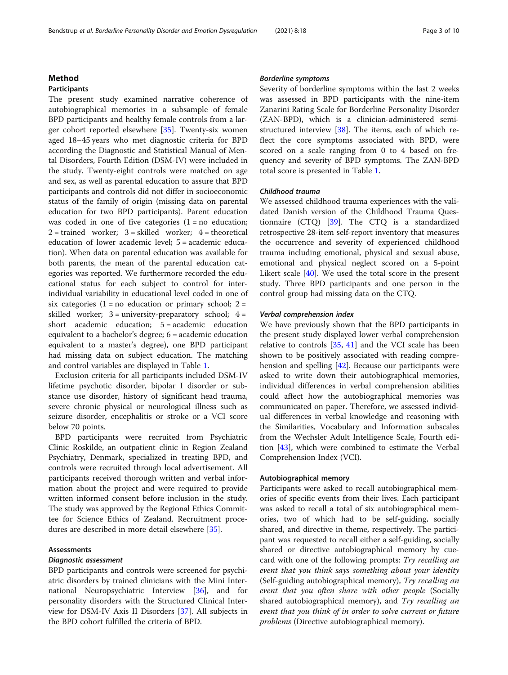# Method

# Participants

The present study examined narrative coherence of autobiographical memories in a subsample of female BPD participants and healthy female controls from a larger cohort reported elsewhere [\[35](#page-9-0)]. Twenty-six women aged 18–45 years who met diagnostic criteria for BPD according the Diagnostic and Statistical Manual of Mental Disorders, Fourth Edition (DSM-IV) were included in the study. Twenty-eight controls were matched on age and sex, as well as parental education to assure that BPD participants and controls did not differ in socioeconomic status of the family of origin (missing data on parental education for two BPD participants). Parent education was coded in one of five categories  $(1 = no$  education;  $2 =$  trained worker;  $3 =$  skilled worker;  $4 =$  theoretical education of lower academic level; 5 = academic education). When data on parental education was available for both parents, the mean of the parental education categories was reported. We furthermore recorded the educational status for each subject to control for interindividual variability in educational level coded in one of six categories  $(1 = no$  education or primary school;  $2 =$ skilled worker;  $3 =$  university-preparatory school;  $4 =$ short academic education; 5 = academic education equivalent to a bachelor's degree; 6 = academic education equivalent to a master's degree), one BPD participant had missing data on subject education. The matching and control variables are displayed in Table [1](#page-3-0).

Exclusion criteria for all participants included DSM-IV lifetime psychotic disorder, bipolar I disorder or substance use disorder, history of significant head trauma, severe chronic physical or neurological illness such as seizure disorder, encephalitis or stroke or a VCI score below 70 points.

BPD participants were recruited from Psychiatric Clinic Roskilde, an outpatient clinic in Region Zealand Psychiatry, Denmark, specialized in treating BPD, and controls were recruited through local advertisement. All participants received thorough written and verbal information about the project and were required to provide written informed consent before inclusion in the study. The study was approved by the Regional Ethics Committee for Science Ethics of Zealand. Recruitment procedures are described in more detail elsewhere [\[35](#page-9-0)].

# Assessments

## Diagnostic assessment

BPD participants and controls were screened for psychiatric disorders by trained clinicians with the Mini International Neuropsychiatric Interview [[36](#page-9-0)], and for personality disorders with the Structured Clinical Interview for DSM-IV Axis II Disorders [[37](#page-9-0)]. All subjects in the BPD cohort fulfilled the criteria of BPD.

# Borderline symptoms

Severity of borderline symptoms within the last 2 weeks was assessed in BPD participants with the nine-item Zanarini Rating Scale for Borderline Personality Disorder (ZAN-BPD), which is a clinician-administered semistructured interview [[38\]](#page-9-0). The items, each of which reflect the core symptoms associated with BPD, were scored on a scale ranging from 0 to 4 based on frequency and severity of BPD symptoms. The ZAN-BPD total score is presented in Table [1](#page-3-0).

# Childhood trauma

We assessed childhood trauma experiences with the validated Danish version of the Childhood Trauma Questionnaire  $(CTQ)$  [[39\]](#page-9-0). The CTQ is a standardized retrospective 28-item self-report inventory that measures the occurrence and severity of experienced childhood trauma including emotional, physical and sexual abuse, emotional and physical neglect scored on a 5-point Likert scale [[40\]](#page-9-0). We used the total score in the present study. Three BPD participants and one person in the control group had missing data on the CTQ.

# Verbal comprehension index

We have previously shown that the BPD participants in the present study displayed lower verbal comprehension relative to controls [\[35](#page-9-0), [41\]](#page-9-0) and the VCI scale has been shown to be positively associated with reading comprehension and spelling [\[42\]](#page-9-0). Because our participants were asked to write down their autobiographical memories, individual differences in verbal comprehension abilities could affect how the autobiographical memories was communicated on paper. Therefore, we assessed individual differences in verbal knowledge and reasoning with the Similarities, Vocabulary and Information subscales from the Wechsler Adult Intelligence Scale, Fourth edition [\[43](#page-9-0)], which were combined to estimate the Verbal Comprehension Index (VCI).

## Autobiographical memory

Participants were asked to recall autobiographical memories of specific events from their lives. Each participant was asked to recall a total of six autobiographical memories, two of which had to be self-guiding, socially shared, and directive in theme, respectively. The participant was requested to recall either a self-guiding, socially shared or directive autobiographical memory by cuecard with one of the following prompts: Try recalling an event that you think says something about your identity (Self-guiding autobiographical memory), Try recalling an event that you often share with other people (Socially shared autobiographical memory), and Try recalling an event that you think of in order to solve current or future problems (Directive autobiographical memory).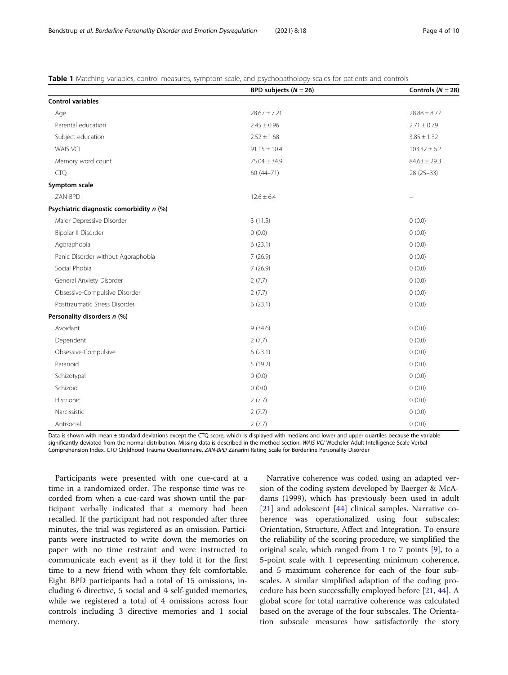<span id="page-3-0"></span>Table 1 Matching variables, control measures, symptom scale, and psychopathology scales for patients and controls

|                                          | BPD subjects $(N = 26)$ | Controls $(N = 28)$ |  |
|------------------------------------------|-------------------------|---------------------|--|
| <b>Control variables</b>                 |                         |                     |  |
| Age                                      | $28.67 \pm 7.21$        | $28.88 \pm 8.77$    |  |
| Parental education                       | $2.45 \pm 0.96$         | $2.71 \pm 0.79$     |  |
| Subject education                        | $2.52 \pm 1.68$         | $3.85 \pm 1.32$     |  |
| <b>WAIS VCI</b>                          | $91.15 \pm 10.4$        | $103.32 \pm 6.2$    |  |
| Memory word count                        | $75.04 \pm 34.9$        | $84.63 \pm 29.3$    |  |
| <b>CTQ</b>                               | $60(44 - 71)$           | $28(25-33)$         |  |
| Symptom scale                            |                         |                     |  |
| ZAN-BPD                                  | $12.6 \pm 6.4$          |                     |  |
| Psychiatric diagnostic comorbidity n (%) |                         |                     |  |
| Major Depressive Disorder                | 3(11.5)                 | 0(0.0)              |  |
| Bipolar II Disorder                      | 0(0.0)                  | 0(0.0)              |  |
| Agoraphobia                              | 6(23.1)                 | 0(0.0)              |  |
| Panic Disorder without Agoraphobia       | 7(26.9)                 | 0(0.0)              |  |
| Social Phobia                            | 7(26.9)                 | 0(0.0)              |  |
| General Anxiety Disorder                 | 2(7.7)                  | 0(0.0)              |  |
| Obsessive-Compulsive Disorder            | 2(7.7)                  | 0(0.0)              |  |
| Posttraumatic Stress Disorder            | 6(23.1)                 | 0(0.0)              |  |
| Personality disorders n (%)              |                         |                     |  |
| Avoidant                                 | 9(34.6)                 | 0(0.0)              |  |
| Dependent                                | 2(7.7)                  | 0(0.0)              |  |
| Obsessive-Compulsive                     | 6(23.1)                 | 0(0.0)              |  |
| Paranoid                                 | 5(19.2)                 | 0(0.0)              |  |
| Schizotypal                              | 0(0.0)                  | 0(0.0)              |  |
| Schizoid                                 | 0(0.0)                  | 0(0.0)              |  |
| Histrionic                               | 2(7.7)                  | 0(0.0)              |  |
| Narcissistic                             | 2(7.7)                  | 0(0.0)              |  |
| Antisocial                               | 2(7.7)                  | 0(0.0)              |  |

Data is shown with mean ± standard deviations except the CTQ score, which is displayed with medians and lower and upper quartiles because the variable significantly deviated from the normal distribution. Missing data is described in the method section. WAIS VCI Wechsler Adult Intelligence Scale Verbal Comprehension Index, CTQ Childhood Trauma Questionnaire, ZAN-BPD Zanarini Rating Scale for Borderline Personality Disorder

Participants were presented with one cue-card at a time in a randomized order. The response time was recorded from when a cue-card was shown until the participant verbally indicated that a memory had been recalled. If the participant had not responded after three minutes, the trial was registered as an omission. Participants were instructed to write down the memories on paper with no time restraint and were instructed to communicate each event as if they told it for the first time to a new friend with whom they felt comfortable. Eight BPD participants had a total of 15 omissions, including 6 directive, 5 social and 4 self-guided memories, while we registered a total of 4 omissions across four controls including 3 directive memories and 1 social memory.

Narrative coherence was coded using an adapted version of the coding system developed by Baerger & McAdams (1999), which has previously been used in adult [[21\]](#page-8-0) and adolescent [\[44](#page-9-0)] clinical samples. Narrative coherence was operationalized using four subscales: Orientation, Structure, Affect and Integration. To ensure the reliability of the scoring procedure, we simplified the original scale, which ranged from 1 to 7 points  $[9]$  $[9]$ , to a 5-point scale with 1 representing minimum coherence, and 5 maximum coherence for each of the four subscales. A similar simplified adaption of the coding procedure has been successfully employed before [[21](#page-8-0), [44](#page-9-0)]. A global score for total narrative coherence was calculated based on the average of the four subscales. The Orientation subscale measures how satisfactorily the story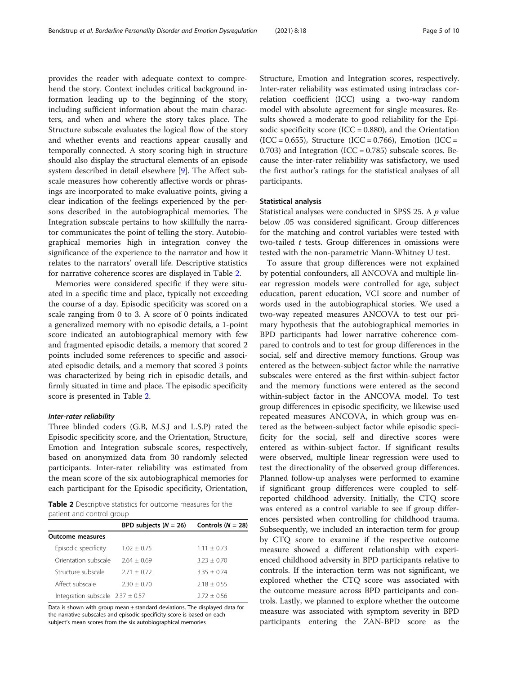provides the reader with adequate context to comprehend the story. Context includes critical background information leading up to the beginning of the story, including sufficient information about the main characters, and when and where the story takes place. The Structure subscale evaluates the logical flow of the story and whether events and reactions appear causally and temporally connected. A story scoring high in structure should also display the structural elements of an episode system described in detail elsewhere [\[9](#page-8-0)]. The Affect subscale measures how coherently affective words or phrasings are incorporated to make evaluative points, giving a clear indication of the feelings experienced by the persons described in the autobiographical memories. The Integration subscale pertains to how skillfully the narrator communicates the point of telling the story. Autobiographical memories high in integration convey the significance of the experience to the narrator and how it relates to the narrators' overall life. Descriptive statistics for narrative coherence scores are displayed in Table 2.

Memories were considered specific if they were situated in a specific time and place, typically not exceeding the course of a day. Episodic specificity was scored on a scale ranging from 0 to 3. A score of 0 points indicated a generalized memory with no episodic details, a 1-point score indicated an autobiographical memory with few and fragmented episodic details, a memory that scored 2 points included some references to specific and associated episodic details, and a memory that scored 3 points was characterized by being rich in episodic details, and firmly situated in time and place. The episodic specificity score is presented in Table 2.

## Inter-rater reliability

Three blinded coders (G.B, M.S.J and L.S.P) rated the Episodic specificity score, and the Orientation, Structure, Emotion and Integration subscale scores, respectively, based on anonymized data from 30 randomly selected participants. Inter-rater reliability was estimated from the mean score of the six autobiographical memories for each participant for the Episodic specificity, Orientation,

Table 2 Descriptive statistics for outcome measures for the patient and control group

|                                      | BPD subjects $(N = 26)$ | Controls ( $N = 28$ ) |  |  |
|--------------------------------------|-------------------------|-----------------------|--|--|
| <b>Outcome measures</b>              |                         |                       |  |  |
| Episodic specificity                 | $1.02 + 0.75$           | $1.11 + 0.73$         |  |  |
| Orientation subscale                 | $2.64 + 0.69$           | $3.23 + 0.70$         |  |  |
| Structure subscale                   | $2.71 + 0.72$           | $3.35 + 0.74$         |  |  |
| Affect subscale                      | $2.30 + 0.70$           | $2.18 + 0.55$         |  |  |
| Integration subscale $2.37 \pm 0.57$ |                         | $2.72 + 0.56$         |  |  |
|                                      |                         |                       |  |  |

Data is shown with group mean ± standard deviations. The displayed data for the narrative subscales and episodic specificity score is based on each subject's mean scores from the six autobiographical memories

Structure, Emotion and Integration scores, respectively. Inter-rater reliability was estimated using intraclass correlation coefficient (ICC) using a two-way random model with absolute agreement for single measures. Results showed a moderate to good reliability for the Episodic specificity score (ICC =  $0.880$ ), and the Orientation  $(ICC = 0.655)$ , Structure  $(ICC = 0.766)$ , Emotion  $(ICC =$ 0.703) and Integration (ICC =  $0.785$ ) subscale scores. Because the inter-rater reliability was satisfactory, we used the first author's ratings for the statistical analyses of all participants.

## Statistical analysis

Statistical analyses were conducted in SPSS 25. A p value below .05 was considered significant. Group differences for the matching and control variables were tested with two-tailed  $t$  tests. Group differences in omissions were tested with the non-parametric Mann-Whitney U test.

To assure that group differences were not explained by potential confounders, all ANCOVA and multiple linear regression models were controlled for age, subject education, parent education, VCI score and number of words used in the autobiographical stories. We used a two-way repeated measures ANCOVA to test our primary hypothesis that the autobiographical memories in BPD participants had lower narrative coherence compared to controls and to test for group differences in the social, self and directive memory functions. Group was entered as the between-subject factor while the narrative subscales were entered as the first within-subject factor and the memory functions were entered as the second within-subject factor in the ANCOVA model. To test group differences in episodic specificity, we likewise used repeated measures ANCOVA, in which group was entered as the between-subject factor while episodic specificity for the social, self and directive scores were entered as within-subject factor. If significant results were observed, multiple linear regression were used to test the directionality of the observed group differences. Planned follow-up analyses were performed to examine if significant group differences were coupled to selfreported childhood adversity. Initially, the CTQ score was entered as a control variable to see if group differences persisted when controlling for childhood trauma. Subsequently, we included an interaction term for group by CTQ score to examine if the respective outcome measure showed a different relationship with experienced childhood adversity in BPD participants relative to controls. If the interaction term was not significant, we explored whether the CTQ score was associated with the outcome measure across BPD participants and controls. Lastly, we planned to explore whether the outcome measure was associated with symptom severity in BPD participants entering the ZAN-BPD score as the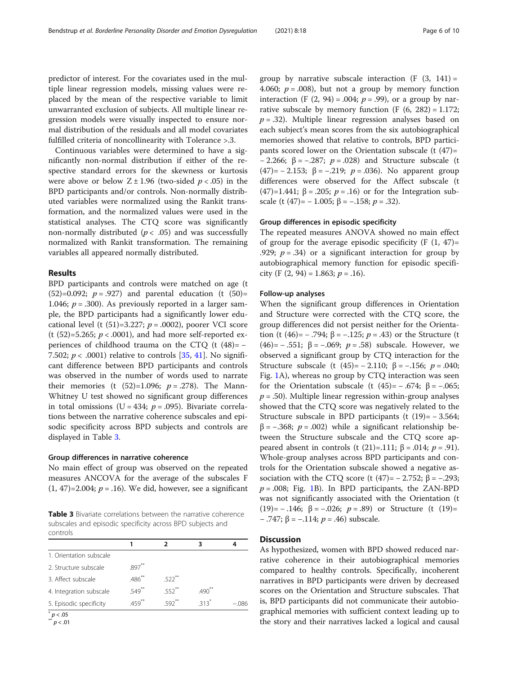predictor of interest. For the covariates used in the multiple linear regression models, missing values were replaced by the mean of the respective variable to limit unwarranted exclusion of subjects. All multiple linear regression models were visually inspected to ensure normal distribution of the residuals and all model covariates fulfilled criteria of noncollinearity with Tolerance >.3.

Continuous variables were determined to have a significantly non-normal distribution if either of the respective standard errors for the skewness or kurtosis were above or below  $Z \pm 1.96$  (two-sided  $p < .05$ ) in the BPD participants and/or controls. Non-normally distributed variables were normalized using the Rankit transformation, and the normalized values were used in the statistical analyses. The CTQ score was significantly non-normally distributed ( $p < .05$ ) and was successfully normalized with Rankit transformation. The remaining variables all appeared normally distributed.

# Results

BPD participants and controls were matched on age (t  $(52)=0.092$ ;  $p=.927$  and parental education (t  $(50)=$ 1.046;  $p = .300$ ). As previously reported in a larger sample, the BPD participants had a significantly lower educational level (t  $(51)=3.227$ ;  $p = .0002$ ), poorer VCI score (t  $(52)=5.265$ ;  $p < .0001$ ), and had more self-reported experiences of childhood trauma on the CTQ (t (48)= − 7.502;  $p < .0001$ ) relative to controls [[35,](#page-9-0) [41\]](#page-9-0). No significant difference between BPD participants and controls was observed in the number of words used to narrate their memories (t  $(52)=1.096$ ;  $p=.278$ ). The Mann-Whitney U test showed no significant group differences in total omissions (U = 434;  $p = .095$ ). Bivariate correlations between the narrative coherence subscales and episodic specificity across BPD subjects and controls are displayed in Table 3.

# Group differences in narrative coherence

No main effect of group was observed on the repeated measures ANCOVA for the average of the subscales F  $(1, 47) = 2.004$ ;  $p = .16$ ). We did, however, see a significant

**Table 3** Bivariate correlations between the narrative coherence subscales and episodic specificity across BPD subjects and controls

|                         |             | າ                   | 3        |      |
|-------------------------|-------------|---------------------|----------|------|
| 1. Orientation subscale |             |                     |          |      |
| 2. Structure subscale   | $897***$    |                     |          |      |
| 3. Affect subscale      | $.486^{**}$ | $.522***$           |          |      |
| 4. Integration subscale | $.549**$    | $552**$             | $.490**$ |      |
| 5. Episodic specificity | 459         | $.592$ <sup>*</sup> | 313      | -086 |
| $m \times 0.5$          |             |                     |          |      |

 $p < .01$ 

group by narrative subscale interaction  $(F (3, 141)) =$ 4.060;  $p = .008$ ), but not a group by memory function interaction (F  $(2, 94) = .004$ ;  $p = .99$ ), or a group by narrative subscale by memory function  $(F (6, 282) = 1.172;$  $p = .32$ ). Multiple linear regression analyses based on each subject's mean scores from the six autobiographical memories showed that relative to controls, BPD participants scored lower on the Orientation subscale (t (47)=  $-2.266$ ; β =  $-.287$ ;  $p = .028$ ) and Structure subscale (t (47)= − 2.153; β = −.219; p = .036). No apparent group differences were observed for the Affect subscale (t (47)=1.441; β = .205;  $p = .16$ ) or for the Integration subscale (t (47)=  $-1.005$ ;  $\beta = -.158$ ;  $p = .32$ ).

# Group differences in episodic specificity

The repeated measures ANOVA showed no main effect of group for the average episodic specificity  $(F (1, 47)) =$ .929;  $p = .34$ ) or a significant interaction for group by autobiographical memory function for episodic specificity (F  $(2, 94) = 1.863$ ;  $p = .16$ ).

# Follow-up analyses

When the significant group differences in Orientation and Structure were corrected with the CTQ score, the group differences did not persist neither for the Orientation (t (46)=  $-$  .794;  $\beta$  =  $-$ .125;  $p = .43$ ) or the Structure (t (46)=  $-.551$ ;  $\beta$  =  $-.069$ ;  $p = .58$ ) subscale. However, we observed a significant group by CTQ interaction for the Structure subscale (t  $(45) = -2.110$ ;  $\beta = -.156$ ;  $p = .040$ ; Fig. [1](#page-6-0)A), whereas no group by CTQ interaction was seen for the Orientation subscale (t  $(45) = -.674$ ;  $\beta = -.065$ ;  $p = .50$ ). Multiple linear regression within-group analyses showed that the CTQ score was negatively related to the Structure subscale in BPD participants (t  $(19) = -3.564$ ;  $β = -.368; p = .002$ ) while a significant relationship between the Structure subscale and the CTQ score appeared absent in controls (t (21)=.111; β = .014;  $p = .91$ ). Whole-group analyses across BPD participants and controls for the Orientation subscale showed a negative association with the CTQ score (t  $(47) = -2.752$ ;  $\beta = -.293$ ;  $p = .008$ ; Fig. [1](#page-6-0)B). In BPD participants, the ZAN-BPD was not significantly associated with the Orientation (t (19) = −.146;  $\beta$  = −.026;  $p$  = .89) or Structure (t (19) =  $-$  .747; β =  $-.114$ ; *p* = .46) subscale.

# **Discussion**

As hypothesized, women with BPD showed reduced narrative coherence in their autobiographical memories compared to healthy controls. Specifically, incoherent narratives in BPD participants were driven by decreased scores on the Orientation and Structure subscales. That is, BPD participants did not communicate their autobiographical memories with sufficient context leading up to the story and their narratives lacked a logical and causal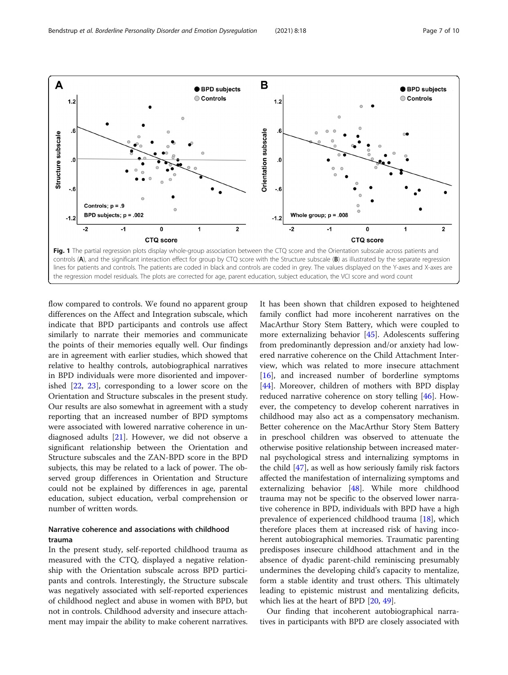<span id="page-6-0"></span>

flow compared to controls. We found no apparent group differences on the Affect and Integration subscale, which indicate that BPD participants and controls use affect similarly to narrate their memories and communicate the points of their memories equally well. Our findings are in agreement with earlier studies, which showed that relative to healthy controls, autobiographical narratives in BPD individuals were more disoriented and impoverished [[22,](#page-8-0) [23\]](#page-8-0), corresponding to a lower score on the Orientation and Structure subscales in the present study. Our results are also somewhat in agreement with a study reporting that an increased number of BPD symptoms were associated with lowered narrative coherence in undiagnosed adults [[21\]](#page-8-0). However, we did not observe a significant relationship between the Orientation and Structure subscales and the ZAN-BPD score in the BPD subjects, this may be related to a lack of power. The observed group differences in Orientation and Structure could not be explained by differences in age, parental education, subject education, verbal comprehension or number of written words.

# Narrative coherence and associations with childhood trauma

In the present study, self-reported childhood trauma as measured with the CTQ, displayed a negative relationship with the Orientation subscale across BPD participants and controls. Interestingly, the Structure subscale was negatively associated with self-reported experiences of childhood neglect and abuse in women with BPD, but not in controls. Childhood adversity and insecure attachment may impair the ability to make coherent narratives. It has been shown that children exposed to heightened family conflict had more incoherent narratives on the MacArthur Story Stem Battery, which were coupled to more externalizing behavior [[45\]](#page-9-0). Adolescents suffering from predominantly depression and/or anxiety had lowered narrative coherence on the Child Attachment Interview, which was related to more insecure attachment [[16\]](#page-8-0), and increased number of borderline symptoms [[44\]](#page-9-0). Moreover, children of mothers with BPD display reduced narrative coherence on story telling [[46](#page-9-0)]. However, the competency to develop coherent narratives in childhood may also act as a compensatory mechanism. Better coherence on the MacArthur Story Stem Battery in preschool children was observed to attenuate the otherwise positive relationship between increased maternal psychological stress and internalizing symptoms in the child [[47\]](#page-9-0), as well as how seriously family risk factors affected the manifestation of internalizing symptoms and externalizing behavior [[48\]](#page-9-0). While more childhood trauma may not be specific to the observed lower narrative coherence in BPD, individuals with BPD have a high prevalence of experienced childhood trauma [\[18](#page-8-0)], which therefore places them at increased risk of having incoherent autobiographical memories. Traumatic parenting predisposes insecure childhood attachment and in the absence of dyadic parent-child reminiscing presumably undermines the developing child's capacity to mentalize, form a stable identity and trust others. This ultimately leading to epistemic mistrust and mentalizing deficits, which lies at the heart of BPD [\[20,](#page-8-0) [49\]](#page-9-0).

Our finding that incoherent autobiographical narratives in participants with BPD are closely associated with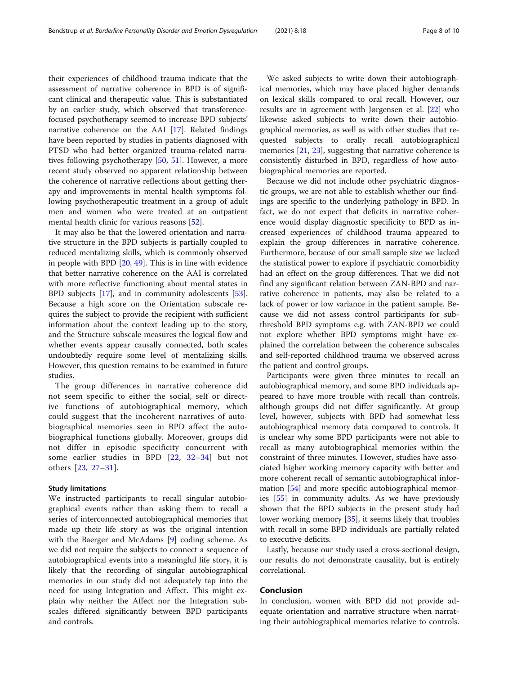their experiences of childhood trauma indicate that the assessment of narrative coherence in BPD is of significant clinical and therapeutic value. This is substantiated by an earlier study, which observed that transferencefocused psychotherapy seemed to increase BPD subjects' narrative coherence on the AAI [[17\]](#page-8-0). Related findings have been reported by studies in patients diagnosed with PTSD who had better organized trauma-related narratives following psychotherapy [\[50](#page-9-0), [51](#page-9-0)]. However, a more recent study observed no apparent relationship between the coherence of narrative reflections about getting therapy and improvements in mental health symptoms following psychotherapeutic treatment in a group of adult men and women who were treated at an outpatient mental health clinic for various reasons [\[52](#page-9-0)].

It may also be that the lowered orientation and narrative structure in the BPD subjects is partially coupled to reduced mentalizing skills, which is commonly observed in people with BPD [[20,](#page-8-0) [49](#page-9-0)]. This is in line with evidence that better narrative coherence on the AAI is correlated with more reflective functioning about mental states in BPD subjects [\[17](#page-8-0)], and in community adolescents [\[53](#page-9-0)]. Because a high score on the Orientation subscale requires the subject to provide the recipient with sufficient information about the context leading up to the story, and the Structure subscale measures the logical flow and whether events appear causally connected, both scales undoubtedly require some level of mentalizing skills. However, this question remains to be examined in future studies.

The group differences in narrative coherence did not seem specific to either the social, self or directive functions of autobiographical memory, which could suggest that the incoherent narratives of autobiographical memories seen in BPD affect the autobiographical functions globally. Moreover, groups did not differ in episodic specificity concurrent with some earlier studies in BPD [[22,](#page-8-0) [32](#page-9-0)–[34\]](#page-9-0) but not others [[23,](#page-8-0) [27](#page-8-0)–[31\]](#page-9-0).

# Study limitations

We instructed participants to recall singular autobiographical events rather than asking them to recall a series of interconnected autobiographical memories that made up their life story as was the original intention with the Baerger and McAdams [\[9](#page-8-0)] coding scheme. As we did not require the subjects to connect a sequence of autobiographical events into a meaningful life story, it is likely that the recording of singular autobiographical memories in our study did not adequately tap into the need for using Integration and Affect. This might explain why neither the Affect nor the Integration subscales differed significantly between BPD participants and controls.

We asked subjects to write down their autobiographical memories, which may have placed higher demands on lexical skills compared to oral recall. However, our results are in agreement with Jørgensen et al. [\[22](#page-8-0)] who likewise asked subjects to write down their autobiographical memories, as well as with other studies that requested subjects to orally recall autobiographical memories [\[21,](#page-8-0) [23\]](#page-8-0), suggesting that narrative coherence is consistently disturbed in BPD, regardless of how autobiographical memories are reported.

Because we did not include other psychiatric diagnostic groups, we are not able to establish whether our findings are specific to the underlying pathology in BPD. In fact, we do not expect that deficits in narrative coherence would display diagnostic specificity to BPD as increased experiences of childhood trauma appeared to explain the group differences in narrative coherence. Furthermore, because of our small sample size we lacked the statistical power to explore if psychiatric comorbidity had an effect on the group differences. That we did not find any significant relation between ZAN-BPD and narrative coherence in patients, may also be related to a lack of power or low variance in the patient sample. Because we did not assess control participants for subthreshold BPD symptoms e.g. with ZAN-BPD we could not explore whether BPD symptoms might have explained the correlation between the coherence subscales and self-reported childhood trauma we observed across the patient and control groups.

Participants were given three minutes to recall an autobiographical memory, and some BPD individuals appeared to have more trouble with recall than controls, although groups did not differ significantly. At group level, however, subjects with BPD had somewhat less autobiographical memory data compared to controls. It is unclear why some BPD participants were not able to recall as many autobiographical memories within the constraint of three minutes. However, studies have associated higher working memory capacity with better and more coherent recall of semantic autobiographical information [\[54](#page-9-0)] and more specific autobiographical memories [\[55\]](#page-9-0) in community adults. As we have previously shown that the BPD subjects in the present study had lower working memory [\[35\]](#page-9-0), it seems likely that troubles with recall in some BPD individuals are partially related to executive deficits.

Lastly, because our study used a cross-sectional design, our results do not demonstrate causality, but is entirely correlational.

# Conclusion

In conclusion, women with BPD did not provide adequate orientation and narrative structure when narrating their autobiographical memories relative to controls.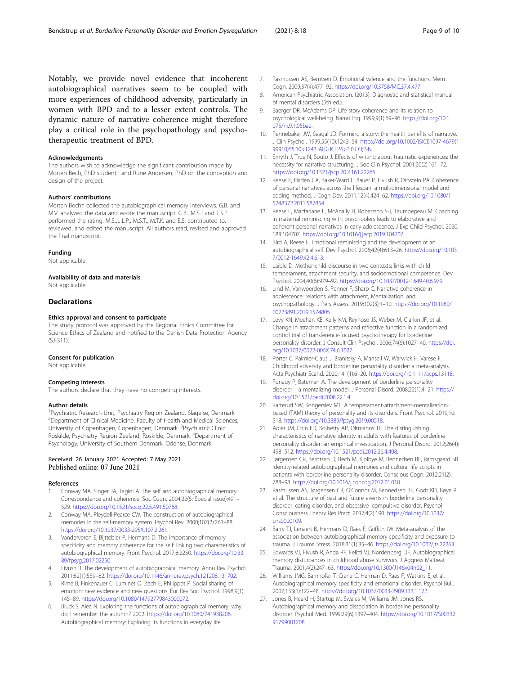<span id="page-8-0"></span>Notably, we provide novel evidence that incoherent autobiographical narratives seem to be coupled with more experiences of childhood adversity, particularly in women with BPD and to a lesser extent controls. The dynamic nature of narrative coherence might therefore play a critical role in the psychopathology and psychotherapeutic treatment of BPD.

## Acknowledgements

The authors wish to acknowledge the significant contribution made by Morten Bech, PhD student† and Rune Andersen, PhD on the conception and design of the project.

#### Authors' contributions

Morten Bech† collected the autobiographical memory interviews. G.B. and M.V. analyzed the data and wrote the manuscript. G.B., M.S.J and L.S.P. performed the rating. M.S.J., L.P., M.S.T., M.T.K. and E.S. contributed to, reviewed, and edited the manuscript. All authors read, revised and approved the final manuscript.

#### Funding

Not applicable.

#### Availability of data and materials

Not applicable.

# **Declarations**

### Ethics approval and consent to participate

The study protocol was approved by the Regional Ethics Committee for Science Ethics of Zealand and notified to the Danish Data Protection Agency (SJ-311).

## Consent for publication

Not applicable.

### Competing interests

The authors declare that they have no competing interests.

### Author details

<sup>1</sup> Psychiatric Research Unit, Psychiatry Region Zealand, Slagelse, Denmark. <sup>2</sup> Department of Clinical Medicine, Faculty of Health and Medical Sciences, University of Copenhagen, Copenhagen, Denmark. <sup>3</sup>Psychiatric Clinic Roskilde, Psychiatry Region Zealand, Roskilde, Denmark. <sup>4</sup>Department of Psychology, University of Southern Denmark, Odense, Denmark.

## Received: 26 January 2021 Accepted: 7 May 2021 Published online: 07 June 2021

#### References

- 1. Conway MA, Singer JA, Tagini A. The self and autobiographical memory: Correspondence and coherence. Soc Cogn. 2004;22(5: Special issue):491– 529. <https://doi.org/10.1521/soco.22.5.491.50768>.
- 2. Conway MA, Pleydell-Pearce CW. The construction of autobiographical memories in the self-memory system. Psychol Rev. 2000;107(2):261–88. <https://doi.org/10.1037/0033-295X.107.2.261>.
- Vanderveren E, Bijttebier P, Hermans D. The importance of memory specificity and memory coherence for the self: linking two characteristics of autobiographical memory. Front Psychol. 2017;8:2250. [https://doi.org/10.33](https://doi.org/10.3389/fpsyg.2017.02250) [89/fpsyg.2017.02250](https://doi.org/10.3389/fpsyg.2017.02250).
- 4. Fivush R. The development of autobiographical memory. Annu Rev Psychol. 2011;62(1):559–82. [https://doi.org/10.1146/annurev.psych.121208.131702.](https://doi.org/10.1146/annurev.psych.121208.131702)
- 5. Rimé B, Finkenauer C, Luminet O, Zech E, Philippot P. Social sharing of emotion: new evidence and new questions. Eur Rev Soc Psychol. 1998;9(1): 145–89. [https://doi.org/10.1080/14792779843000072.](https://doi.org/10.1080/14792779843000072)
- Bluck S, Alea N. Exploring the functions of autobiographical memory: why do I remember the autumn? 2002. [https://doi.org/10.1080/741938206.](https://doi.org/10.1080/741938206) Autobiographical memory: Exploring its functions in everyday life
- 7. Rasmussen AS, Berntsen D. Emotional valence and the functions. Mem Cogn. 2009;37(4):477–92. <https://doi.org/10.3758/MC.37.4.477>.
- 8. American Psychiatric Association. (2013). Diagnostic and statistical manual of mental disorders (5th ed.).
- 9. Baerger DR, McAdams DP. Life story coherence and its relation to psychological well-being. Narrat Inq. 1999;9(1):69–96. [https://doi.org/10.1](https://doi.org/10.1075/ni.9.1.05bae) [075/ni.9.1.05bae](https://doi.org/10.1075/ni.9.1.05bae).
- 10. Pennebaker JW, Seagal JD. Forming a story: the health benefits of narrative. J Clin Psychol. 1999;55(10):1243–54. [https://doi.org/10.1002/\(SICI\)1097-4679\(1](https://doi.org/10.1002/(SICI)1097-4679(199910)55:10<1243::AID-JCLP6>3.0.CO;2-N) [99910\)55:10<1243::AID-JCLP6>3.0.CO;2-N](https://doi.org/10.1002/(SICI)1097-4679(199910)55:10<1243::AID-JCLP6>3.0.CO;2-N).
- 11. Smyth J, True N, Souto J. Effects of writing about traumatic experiences: the necessity for narrative structuring. J Soc Clin Psychol. 2001;20(2):161–72. <https://doi.org/10.1521/jscp.20.2.161.22266>.
- 12. Reese E, Haden CA, Baker-Ward L, Bauer P, Fivush R, Ornstein PA. Coherence of personal narratives across the lifespan: a multidimensional model and coding method. J Cogn Dev. 2011;12(4):424–62. [https://doi.org/10.1080/1](https://doi.org/10.1080/15248372.2011.587854) [5248372.2011.587854](https://doi.org/10.1080/15248372.2011.587854).
- 13. Reese E, Macfarlane L, McAnally H, Robertson S-J, Taumoepeau M. Coaching in maternal reminiscing with preschoolers leads to elaborative and coherent personal narratives in early adolescence. J Exp Child Psychol. 2020; 189:104707. <https://doi.org/10.1016/j.jecp.2019.104707>.
- 14. Bird A, Reese E. Emotional reminiscing and the development of an autobiographical self. Dev Psychol. 2006;42(4):613–26. [https://doi.org/10.103](https://doi.org/10.1037/0012-1649.42.4.613) [7/0012-1649.42.4.613.](https://doi.org/10.1037/0012-1649.42.4.613)
- 15. Laible D. Mother-child discourse in two contexts: links with child temperament, attachment security, and socioemotional competence. Dev Psychol. 2004;40(6):979–92. <https://doi.org/10.1037/0012-1649.40.6.979>.
- 16. Lind M, Vanwoerden S, Penner F, Sharp C. Narrative coherence in adolescence: relations with attachment, Mentalization, and psychopathology. J Pers Assess. 2019;102(3):1–10. [https://doi.org/10.1080/](https://doi.org/10.1080/00223891.2019.1574805) [00223891.2019.1574805.](https://doi.org/10.1080/00223891.2019.1574805)
- 17. Levy KN, Meehan KB, Kelly KM, Reynoso JS, Weber M, Clarkin JF, et al. Change in attachment patterns and reflective function in a randomized control trial of transference-focused psychotherapy for borderline personality disorder. J Consult Clin Psychol. 2006;74(6):1027–40. [https://doi.](https://doi.org/10.1037/0022-006X.74.6.1027) [org/10.1037/0022-006X.74.6.1027](https://doi.org/10.1037/0022-006X.74.6.1027).
- 18. Porter C, Palmier-Claus J, Branitsky A, Mansell W, Warwick H, Varese F. Childhood adversity and borderline personality disorder: a meta-analysis. Acta Psychiatr Scand. 2020;141(1):6–20. [https://doi.org/10.1111/acps.13118.](https://doi.org/10.1111/acps.13118)
- 19. Fonagy P, Bateman A. The development of borderline personality disorder—a mentalizing model. J Personal Disord. 2008;22(1):4–21. [https://](https://doi.org/10.1521/pedi.2008.22.1.4) [doi.org/10.1521/pedi.2008.22.1.4.](https://doi.org/10.1521/pedi.2008.22.1.4)
- 20. Karterud SW, Kongerslev MT. A temperament-attachment-mentalizationbased (TAM) theory of personality and its disorders. Front Psychol. 2019;10: 518. [https://doi.org/10.3389/fpsyg.2019.00518.](https://doi.org/10.3389/fpsyg.2019.00518)
- 21. Adler JM, Chin ED, Kolisetty AP, Oltmanns TF. The distinguishing characteristics of narrative identity in adults with features of borderline personality disorder: an empirical investigation. J Personal Disord. 2012;26(4): 498–512. [https://doi.org/10.1521/pedi.2012.26.4.498.](https://doi.org/10.1521/pedi.2012.26.4.498)
- 22. Jørgensen CR, Berntsen D, Bech M, Kjolbye M, Bennedsen BE, Ramsgaard SB. Identity-related autobiographical memories and cultural life scripts in patients with borderline personality disorder. Conscious Cogn. 2012;21(2): 788–98. <https://doi.org/10.1016/j.concog.2012.01.010>.
- 23. Rasmussen AS, Jørgensen CR, O'Connor M, Bennedsen BE, Godt KD, Bøye R, et al. The structure of past and future events in borderline personality disorder, eating disorder, and obsessive–compulsive disorder. Psychol Consciousness Theory Res Pract. 2017;4(2):190. [https://doi.org/10.1037/](https://doi.org/10.1037/cns0000109) [cns0000109](https://doi.org/10.1037/cns0000109).
- 24. Barry TJ, Lenaert B, Hermans D, Raes F, Griffith JW. Meta-analysis of the association between autobiographical memory specificity and exposure to trauma. J Trauma Stress. 2018;31(1):35–46. [https://doi.org/10.1002/jts.22263.](https://doi.org/10.1002/jts.22263)
- 25. Edwards VJ, Fivush R, Anda RF, Felitti VJ, Nordenberg DF. Autobiographical memory disturbances in childhood abuse survivors. J Aggress Maltreat Trauma. 2001;4(2):247–63. [https://doi.org/10.1300/J146v04n02\\_11.](https://doi.org/10.1300/J146v04n02_11)
- 26. Williams JMG, Barnhofer T, Crane C, Herman D, Raes F, Watkins E, et al. Autobiographical memory specificity and emotional disorder. Psychol Bull. 2007;133(1):122–48. <https://doi.org/10.1037/0033-2909.133.1.122>.
- 27. Jones B, Heard H, Startup M, Swales M, Williams JM, Jones RS. Autobiographical memory and dissociation in borderline personality disorder. Psychol Med. 1999;29(6):1397–404. [https://doi.org/10.1017/S00332](https://doi.org/10.1017/S0033291799001208) [91799001208](https://doi.org/10.1017/S0033291799001208).